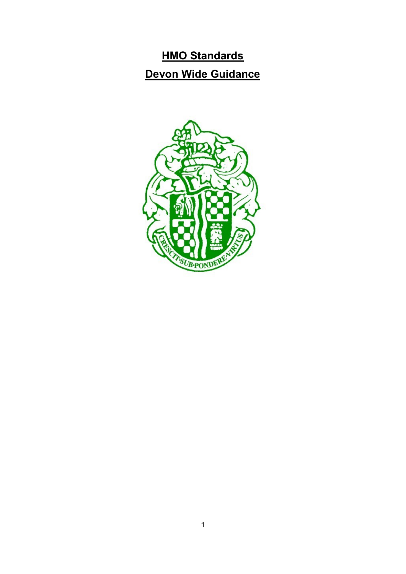## **HMO Standards**

# **Devon Wide Guidance**

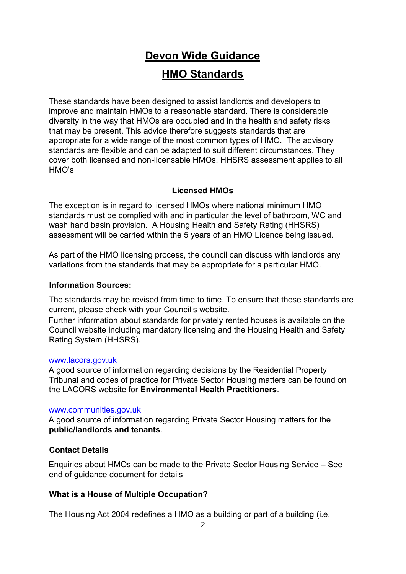# **Devon Wide Guidance**

## **HMO Standards**

These standards have been designed to assist landlords and developers to improve and maintain HMOs to a reasonable standard. There is considerable diversity in the way that HMOs are occupied and in the health and safety risks that may be present. This advice therefore suggests standards that are appropriate for a wide range of the most common types of HMO. The advisory standards are flexible and can be adapted to suit different circumstances. They cover both licensed and non-licensable HMOs. HHSRS assessment applies to all HMO's

#### **Licensed HMOs**

The exception is in regard to licensed HMOs where national minimum HMO standards must be complied with and in particular the level of bathroom, WC and wash hand basin provision. A Housing Health and Safety Rating (HHSRS) assessment will be carried within the 5 years of an HMO Licence being issued.

As part of the HMO licensing process, the council can discuss with landlords any variations from the standards that may be appropriate for a particular HMO.

#### **Information Sources:**

The standards may be revised from time to time. To ensure that these standards are current, please check with your Council's website.

Further information about standards for privately rented houses is available on the Council website including mandatory licensing and the Housing Health and Safety Rating System (HHSRS).

#### [www.lacors.gov.uk](http://www.lacors.gov.uk/)

A good source of information regarding decisions by the Residential Property Tribunal and codes of practice for Private Sector Housing matters can be found on the LACORS website for **Environmental Health Practitioners**.

#### [www.communities.gov.uk](http://www.communities.gov.uk/)

A good source of information regarding Private Sector Housing matters for the **public/landlords and tenants**.

#### **Contact Details**

Enquiries about HMOs can be made to the Private Sector Housing Service – See end of guidance document for details

#### **What is a House of Multiple Occupation?**

The Housing Act 2004 redefines a HMO as a building or part of a building (i.e.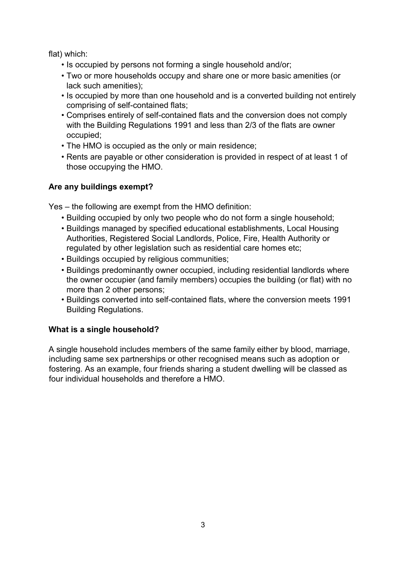flat) which:

- Is occupied by persons not forming a single household and/or;
- Two or more households occupy and share one or more basic amenities (or lack such amenities);
- Is occupied by more than one household and is a converted building not entirely comprising of self-contained flats;
- Comprises entirely of self-contained flats and the conversion does not comply with the Building Regulations 1991 and less than 2/3 of the flats are owner occupied;
- The HMO is occupied as the only or main residence;
- Rents are payable or other consideration is provided in respect of at least 1 of those occupying the HMO.

#### **Are any buildings exempt?**

Yes – the following are exempt from the HMO definition:

- Building occupied by only two people who do not form a single household;
- Buildings managed by specified educational establishments, Local Housing Authorities, Registered Social Landlords, Police, Fire, Health Authority or regulated by other legislation such as residential care homes etc;
- Buildings occupied by religious communities;
- Buildings predominantly owner occupied, including residential landlords where the owner occupier (and family members) occupies the building (or flat) with no more than 2 other persons;
- Buildings converted into self-contained flats, where the conversion meets 1991 Building Regulations.

#### **What is a single household?**

A single household includes members of the same family either by blood, marriage, including same sex partnerships or other recognised means such as adoption or fostering. As an example, four friends sharing a student dwelling will be classed as four individual households and therefore a HMO.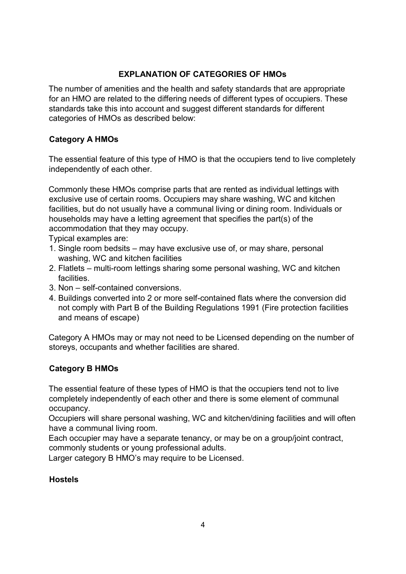#### **EXPLANATION OF CATEGORIES OF HMOs**

The number of amenities and the health and safety standards that are appropriate for an HMO are related to the differing needs of different types of occupiers. These standards take this into account and suggest different standards for different categories of HMOs as described below:

#### **Category A HMOs**

The essential feature of this type of HMO is that the occupiers tend to live completely independently of each other.

Commonly these HMOs comprise parts that are rented as individual lettings with exclusive use of certain rooms. Occupiers may share washing, WC and kitchen facilities, but do not usually have a communal living or dining room. Individuals or households may have a letting agreement that specifies the part(s) of the accommodation that they may occupy.

Typical examples are:

- 1. Single room bedsits may have exclusive use of, or may share, personal washing, WC and kitchen facilities
- 2. Flatlets multi-room lettings sharing some personal washing, WC and kitchen facilities.
- 3. Non self-contained conversions.
- 4. Buildings converted into 2 or more self-contained flats where the conversion did not comply with Part B of the Building Regulations 1991 (Fire protection facilities and means of escape)

Category A HMOs may or may not need to be Licensed depending on the number of storeys, occupants and whether facilities are shared.

#### **Category B HMOs**

The essential feature of these types of HMO is that the occupiers tend not to live completely independently of each other and there is some element of communal occupancy.

Occupiers will share personal washing, WC and kitchen/dining facilities and will often have a communal living room.

Each occupier may have a separate tenancy, or may be on a group/joint contract, commonly students or young professional adults.

Larger category B HMO's may require to be Licensed.

#### **Hostels**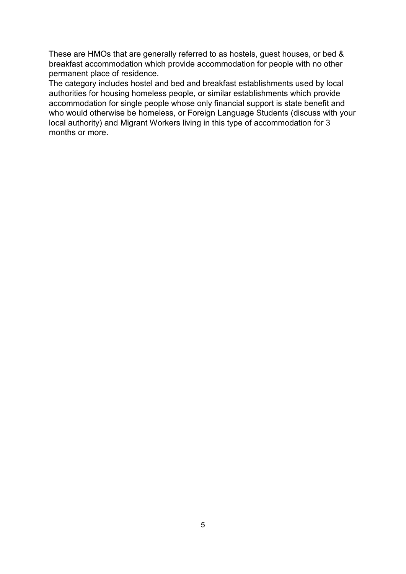These are HMOs that are generally referred to as hostels, guest houses, or bed & breakfast accommodation which provide accommodation for people with no other permanent place of residence.

The category includes hostel and bed and breakfast establishments used by local authorities for housing homeless people, or similar establishments which provide accommodation for single people whose only financial support is state benefit and who would otherwise be homeless, or Foreign Language Students (discuss with your local authority) and Migrant Workers living in this type of accommodation for 3 months or more.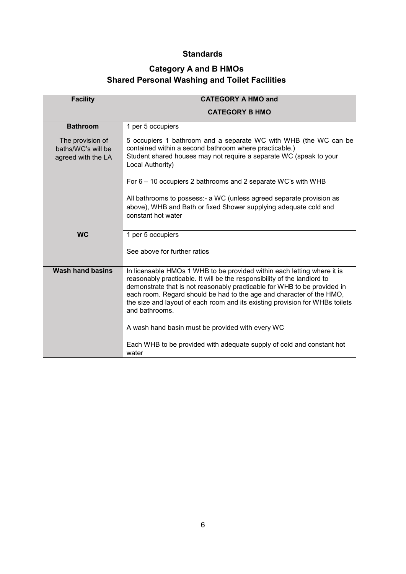#### **Standards**

#### **Category A and B HMOs Shared Personal Washing and Toilet Facilities**

| <b>Facility</b>                                              | <b>CATEGORY A HMO and</b>                                                                                                                                                                                                                                                                                                                                                                                 |
|--------------------------------------------------------------|-----------------------------------------------------------------------------------------------------------------------------------------------------------------------------------------------------------------------------------------------------------------------------------------------------------------------------------------------------------------------------------------------------------|
|                                                              | <b>CATEGORY B HMO</b>                                                                                                                                                                                                                                                                                                                                                                                     |
| <b>Bathroom</b>                                              | 1 per 5 occupiers                                                                                                                                                                                                                                                                                                                                                                                         |
| The provision of<br>baths/WC's will be<br>agreed with the LA | 5 occupiers 1 bathroom and a separate WC with WHB (the WC can be<br>contained within a second bathroom where practicable.)<br>Student shared houses may not require a separate WC (speak to your<br>Local Authority)                                                                                                                                                                                      |
|                                                              | For 6 – 10 occupiers 2 bathrooms and 2 separate WC's with WHB                                                                                                                                                                                                                                                                                                                                             |
|                                                              | All bathrooms to possess:- a WC (unless agreed separate provision as<br>above), WHB and Bath or fixed Shower supplying adequate cold and<br>constant hot water                                                                                                                                                                                                                                            |
| <b>WC</b>                                                    | 1 per 5 occupiers                                                                                                                                                                                                                                                                                                                                                                                         |
|                                                              | See above for further ratios                                                                                                                                                                                                                                                                                                                                                                              |
| <b>Wash hand basins</b>                                      | In licensable HMOs 1 WHB to be provided within each letting where it is<br>reasonably practicable. It will be the responsibility of the landlord to<br>demonstrate that is not reasonably practicable for WHB to be provided in<br>each room. Regard should be had to the age and character of the HMO,<br>the size and layout of each room and its existing provision for WHBs toilets<br>and bathrooms. |
|                                                              | A wash hand basin must be provided with every WC                                                                                                                                                                                                                                                                                                                                                          |
|                                                              | Each WHB to be provided with adequate supply of cold and constant hot<br>water                                                                                                                                                                                                                                                                                                                            |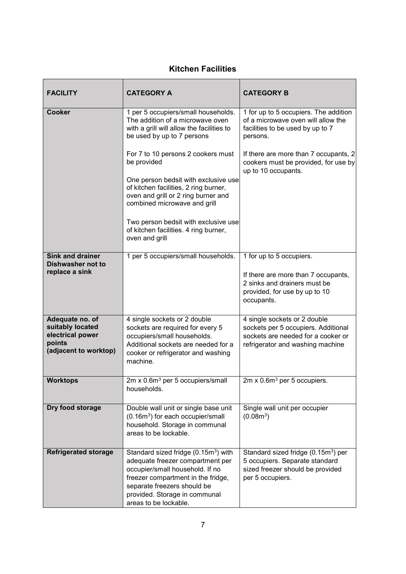#### **Kitchen Facilities**

| <b>FACILITY</b>                                                                            | <b>CATEGORY A</b>                                                                                                                                                                                                                                      | <b>CATEGORY B</b>                                                                                                                             |
|--------------------------------------------------------------------------------------------|--------------------------------------------------------------------------------------------------------------------------------------------------------------------------------------------------------------------------------------------------------|-----------------------------------------------------------------------------------------------------------------------------------------------|
| <b>Cooker</b>                                                                              | 1 per 5 occupiers/small households.<br>The addition of a microwave oven<br>with a grill will allow the facilities to<br>be used by up to 7 persons                                                                                                     | 1 for up to 5 occupiers. The addition<br>of a microwave oven will allow the<br>facilities to be used by up to 7<br>persons.                   |
|                                                                                            | For 7 to 10 persons 2 cookers must<br>be provided                                                                                                                                                                                                      | If there are more than 7 occupants, 2<br>cookers must be provided, for use by<br>up to 10 occupants.                                          |
|                                                                                            | One person bedsit with exclusive use<br>of kitchen facilities, 2 ring burner,<br>oven and grill or 2 ring burner and<br>combined microwave and grill                                                                                                   |                                                                                                                                               |
|                                                                                            | Two person bedsit with exclusive use<br>of kitchen facilities. 4 ring burner,<br>oven and grill                                                                                                                                                        |                                                                                                                                               |
| <b>Sink and drainer</b><br><b>Dishwasher not to</b>                                        | 1 per 5 occupiers/small households.                                                                                                                                                                                                                    | 1 for up to 5 occupiers.                                                                                                                      |
| replace a sink                                                                             |                                                                                                                                                                                                                                                        | If there are more than 7 occupants,<br>2 sinks and drainers must be<br>provided, for use by up to 10<br>occupants.                            |
| Adequate no. of<br>suitably located<br>electrical power<br>points<br>(adjacent to worktop) | 4 single sockets or 2 double<br>sockets are required for every 5<br>occupiers/small households.<br>Additional sockets are needed for a<br>cooker or refrigerator and washing<br>machine.                                                               | 4 single sockets or 2 double<br>sockets per 5 occupiers. Additional<br>sockets are needed for a cooker or<br>refrigerator and washing machine |
| <b>Worktops</b>                                                                            | 2m x 0.6m <sup>3</sup> per 5 occupiers/small<br>households.                                                                                                                                                                                            | 2m x 0.6m <sup>3</sup> per 5 occupiers.                                                                                                       |
| Dry food storage                                                                           | Double wall unit or single base unit<br>(0.16m <sup>3</sup> ) for each occupier/small<br>household. Storage in communal<br>areas to be lockable.                                                                                                       | Single wall unit per occupier<br>(0.08m <sup>3</sup> )                                                                                        |
| <b>Refrigerated storage</b>                                                                | Standard sized fridge (0.15m <sup>3</sup> ) with<br>adequate freezer compartment per<br>occupier/small household. If no<br>freezer compartment in the fridge,<br>separate freezers should be<br>provided. Storage in communal<br>areas to be lockable. | Standard sized fridge (0.15m <sup>3</sup> ) per<br>5 occupiers. Separate standard<br>sized freezer should be provided<br>per 5 occupiers.     |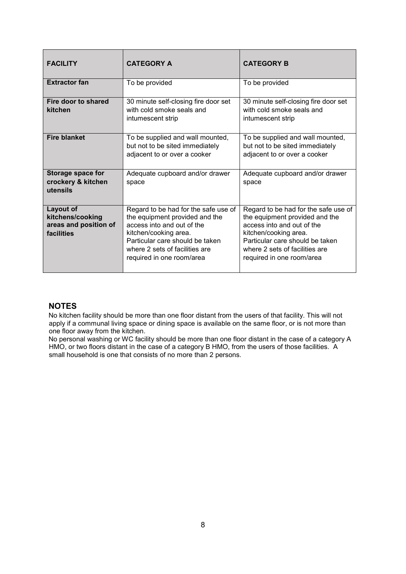| <b>FACILITY</b>                                                             | <b>CATEGORY A</b>                                                                                                                                                                                                               | <b>CATEGORY B</b>                                                                                                                                                                                                               |
|-----------------------------------------------------------------------------|---------------------------------------------------------------------------------------------------------------------------------------------------------------------------------------------------------------------------------|---------------------------------------------------------------------------------------------------------------------------------------------------------------------------------------------------------------------------------|
| <b>Extractor fan</b>                                                        | To be provided                                                                                                                                                                                                                  | To be provided                                                                                                                                                                                                                  |
| Fire door to shared<br>kitchen                                              | 30 minute self-closing fire door set<br>with cold smoke seals and<br>intumescent strip                                                                                                                                          | 30 minute self-closing fire door set<br>with cold smoke seals and<br>intumescent strip                                                                                                                                          |
| <b>Fire blanket</b>                                                         | To be supplied and wall mounted,<br>but not to be sited immediately<br>adjacent to or over a cooker                                                                                                                             | To be supplied and wall mounted,<br>but not to be sited immediately<br>adjacent to or over a cooker                                                                                                                             |
| <b>Storage space for</b><br>crockery & kitchen<br>utensils                  | Adequate cupboard and/or drawer<br>space                                                                                                                                                                                        | Adequate cupboard and/or drawer<br>space                                                                                                                                                                                        |
| <b>Layout of</b><br>kitchens/cooking<br>areas and position of<br>facilities | Regard to be had for the safe use of<br>the equipment provided and the<br>access into and out of the<br>kitchen/cooking area.<br>Particular care should be taken<br>where 2 sets of facilities are<br>required in one room/area | Regard to be had for the safe use of<br>the equipment provided and the<br>access into and out of the<br>kitchen/cooking area.<br>Particular care should be taken<br>where 2 sets of facilities are<br>required in one room/area |

#### **NOTES**

No kitchen facility should be more than one floor distant from the users of that facility. This will not apply if a communal living space or dining space is available on the same floor, or is not more than one floor away from the kitchen.

No personal washing or WC facility should be more than one floor distant in the case of a category A HMO, or two floors distant in the case of a category B HMO, from the users of those facilities. A small household is one that consists of no more than 2 persons.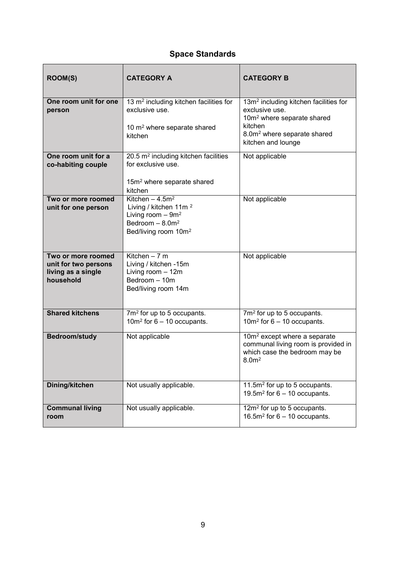## **Space Standards**

| <b>ROOM(S)</b>                                                                | <b>CATEGORY A</b>                                                                                                                       | <b>CATEGORY B</b>                                                                                                                     |
|-------------------------------------------------------------------------------|-----------------------------------------------------------------------------------------------------------------------------------------|---------------------------------------------------------------------------------------------------------------------------------------|
| One room unit for one<br>person                                               | 13 m <sup>2</sup> including kitchen facilities for<br>exclusive use.                                                                    | 13m <sup>2</sup> including kitchen facilities for<br>exclusive use.<br>10m <sup>2</sup> where separate shared<br>kitchen              |
|                                                                               | 10 m <sup>2</sup> where separate shared<br>kitchen                                                                                      | 8.0m <sup>2</sup> where separate shared<br>kitchen and lounge                                                                         |
| One room unit for a<br>co-habiting couple                                     | 20.5 m <sup>2</sup> including kitchen facilities<br>for exclusive use.                                                                  | Not applicable                                                                                                                        |
|                                                                               | 15m <sup>2</sup> where separate shared<br>kitchen                                                                                       |                                                                                                                                       |
| Two or more roomed<br>unit for one person                                     | Kitchen - $4.5m2$<br>Living / kitchen 11m <sup>2</sup><br>Living room $-9m^2$<br>Bedroom $- 8.0 m2$<br>Bed/living room 10m <sup>2</sup> | Not applicable                                                                                                                        |
| Two or more roomed<br>unit for two persons<br>living as a single<br>household | Kitchen $-7$ m<br>Living / kitchen -15m<br>Living room - 12m<br>Bedroom - 10m<br>Bed/living room 14m                                    | Not applicable                                                                                                                        |
| <b>Shared kitchens</b>                                                        | 7m <sup>2</sup> for up to 5 occupants.<br>10 $m^2$ for 6 – 10 occupants.                                                                | 7m <sup>2</sup> for up to 5 occupants.<br>10 $m2$ for 6 – 10 occupants.                                                               |
| <b>Bedroom/study</b>                                                          | Not applicable                                                                                                                          | 10m <sup>2</sup> except where a separate<br>communal living room is provided in<br>which case the bedroom may be<br>8.0 <sup>m2</sup> |
| <b>Dining/kitchen</b>                                                         | Not usually applicable.                                                                                                                 | 11.5m <sup>2</sup> for up to 5 occupants.<br>19.5 $m2$ for 6 – 10 occupants.                                                          |
| <b>Communal living</b><br>room                                                | Not usually applicable.                                                                                                                 | 12m <sup>2</sup> for up to 5 occupants.<br>16.5 $m^2$ for 6 – 10 occupants.                                                           |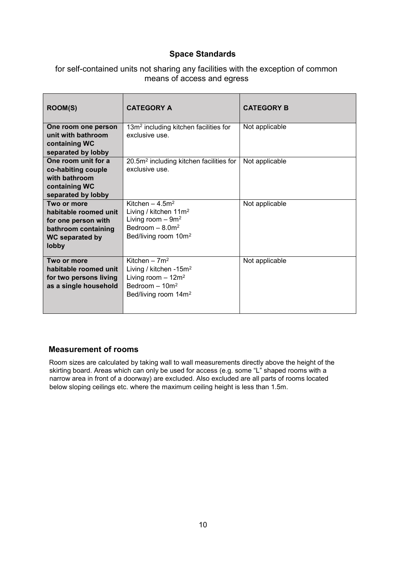#### **Space Standards**

| for self-contained units not sharing any facilities with the exception of common |  |
|----------------------------------------------------------------------------------|--|
| means of access and egress                                                       |  |

| <b>ROOM(S)</b>                                                                                                 | <b>CATEGORY A</b>                                                                                                                      | <b>CATEGORY B</b> |
|----------------------------------------------------------------------------------------------------------------|----------------------------------------------------------------------------------------------------------------------------------------|-------------------|
| One room one person<br>unit with bathroom<br>containing WC<br>separated by lobby                               | 13m <sup>2</sup> including kitchen facilities for<br>exclusive use.                                                                    | Not applicable    |
| One room unit for a<br>co-habiting couple<br>with bathroom<br>containing WC<br>separated by lobby              | 20.5m <sup>2</sup> including kitchen facilities for<br>exclusive use.                                                                  | Not applicable    |
| Two or more<br>habitable roomed unit<br>for one person with<br>bathroom containing<br>WC separated by<br>lobby | Kitchen $-4.5m2$<br>Living / kitchen 11m <sup>2</sup><br>Living room $-9m^2$<br>Bedroom $-8.0m2$<br>Bed/living room 10m <sup>2</sup>   | Not applicable    |
| Two or more<br>habitable roomed unit<br>for two persons living<br>as a single household                        | Kitchen - $7m^2$<br>Living / kitchen -15m <sup>2</sup><br>Living room $-12m^2$<br>Bedroom $-10m^2$<br>Bed/living room 14m <sup>2</sup> | Not applicable    |

#### **Measurement of rooms**

Room sizes are calculated by taking wall to wall measurements directly above the height of the skirting board. Areas which can only be used for access (e.g. some "L" shaped rooms with a narrow area in front of a doorway) are excluded. Also excluded are all parts of rooms located below sloping ceilings etc. where the maximum ceiling height is less than 1.5m.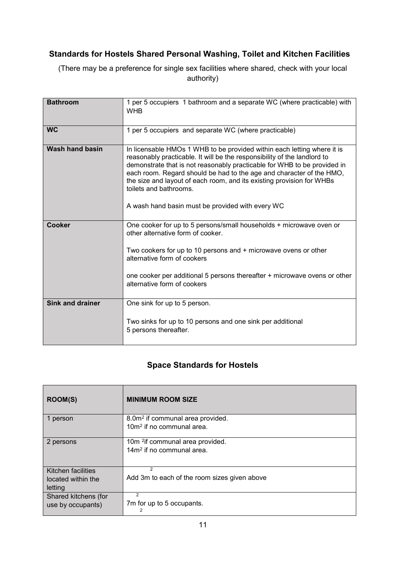#### **Standards for Hostels Shared Personal Washing, Toilet and Kitchen Facilities**

(There may be a preference for single sex facilities where shared, check with your local authority)

| <b>Bathroom</b>         | 1 per 5 occupiers 1 bathroom and a separate WC (where practicable) with<br><b>WHB</b>                                                                                                                                                                                                                                                                                                                                                                          |
|-------------------------|----------------------------------------------------------------------------------------------------------------------------------------------------------------------------------------------------------------------------------------------------------------------------------------------------------------------------------------------------------------------------------------------------------------------------------------------------------------|
| <b>WC</b>               | 1 per 5 occupiers and separate WC (where practicable)                                                                                                                                                                                                                                                                                                                                                                                                          |
| Wash hand basin         | In licensable HMOs 1 WHB to be provided within each letting where it is<br>reasonably practicable. It will be the responsibility of the landlord to<br>demonstrate that is not reasonably practicable for WHB to be provided in<br>each room. Regard should be had to the age and character of the HMO,<br>the size and layout of each room, and its existing provision for WHBs<br>toilets and bathrooms.<br>A wash hand basin must be provided with every WC |
| Cooker                  | One cooker for up to 5 persons/small households + microwave oven or<br>other alternative form of cooker.                                                                                                                                                                                                                                                                                                                                                       |
|                         | Two cookers for up to 10 persons and + microwave ovens or other<br>alternative form of cookers                                                                                                                                                                                                                                                                                                                                                                 |
|                         | one cooker per additional 5 persons thereafter + microwave ovens or other<br>alternative form of cookers                                                                                                                                                                                                                                                                                                                                                       |
| <b>Sink and drainer</b> | One sink for up to 5 person.                                                                                                                                                                                                                                                                                                                                                                                                                                   |
|                         | Two sinks for up to 10 persons and one sink per additional<br>5 persons thereafter.                                                                                                                                                                                                                                                                                                                                                                            |

#### **Space Standards for Hostels**

| <b>ROOM(S)</b>            | <b>MINIMUM ROOM SIZE</b>                     |
|---------------------------|----------------------------------------------|
| 1 person                  | 8.0m <sup>2</sup> if communal area provided. |
|                           | $10m2$ if no communal area.                  |
| 2 persons                 | 10m <sup>2</sup> if communal area provided.  |
|                           | $14m2$ if no communal area.                  |
| <b>Kitchen facilities</b> | $\mathfrak{p}$                               |
| located within the        | Add 3m to each of the room sizes given above |
| letting                   |                                              |
| Shared kitchens (for      | 2                                            |
| use by occupants)         | 7m for up to 5 occupants.<br>2               |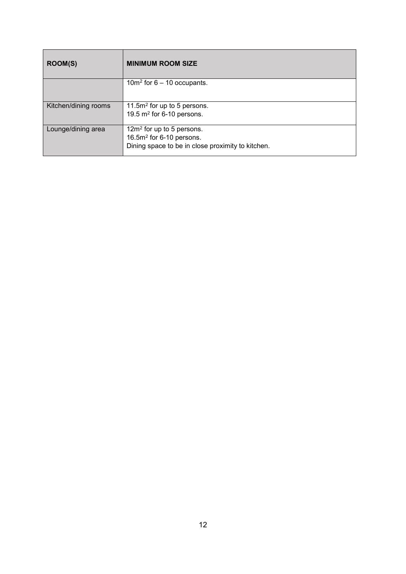| ROOM(S)              | <b>MINIMUM ROOM SIZE</b>                                                                                       |
|----------------------|----------------------------------------------------------------------------------------------------------------|
|                      | 10 $m^2$ for 6 – 10 occupants.                                                                                 |
| Kitchen/dining rooms | 11.5 $m2$ for up to 5 persons.<br>19.5 $m2$ for 6-10 persons.                                                  |
| Lounge/dining area   | $12m2$ for up to 5 persons.<br>$16.5m2$ for 6-10 persons.<br>Dining space to be in close proximity to kitchen. |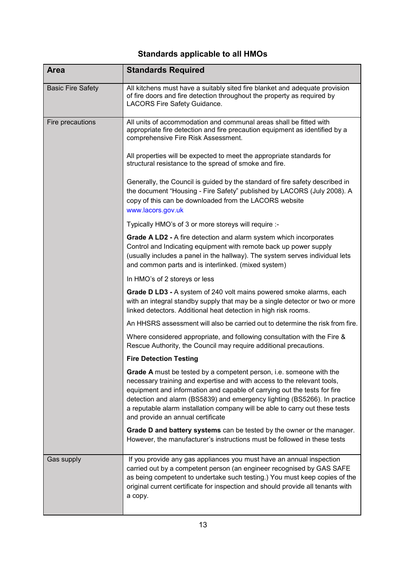## **Standards applicable to all HMOs**

| <b>Area</b>              | <b>Standards Required</b>                                                                                                                                                                                                                                                                                                                                                                                                           |
|--------------------------|-------------------------------------------------------------------------------------------------------------------------------------------------------------------------------------------------------------------------------------------------------------------------------------------------------------------------------------------------------------------------------------------------------------------------------------|
| <b>Basic Fire Safety</b> | All kitchens must have a suitably sited fire blanket and adequate provision<br>of fire doors and fire detection throughout the property as required by<br>LACORS Fire Safety Guidance.                                                                                                                                                                                                                                              |
| Fire precautions         | All units of accommodation and communal areas shall be fitted with<br>appropriate fire detection and fire precaution equipment as identified by a<br>comprehensive Fire Risk Assessment.                                                                                                                                                                                                                                            |
|                          | All properties will be expected to meet the appropriate standards for<br>structural resistance to the spread of smoke and fire.                                                                                                                                                                                                                                                                                                     |
|                          | Generally, the Council is guided by the standard of fire safety described in<br>the document "Housing - Fire Safety" published by LACORS (July 2008). A<br>copy of this can be downloaded from the LACORS website<br>www.lacors.gov.uk                                                                                                                                                                                              |
|                          | Typically HMO's of 3 or more storeys will require :-                                                                                                                                                                                                                                                                                                                                                                                |
|                          | Grade A LD2 - A fire detection and alarm system which incorporates<br>Control and Indicating equipment with remote back up power supply<br>(usually includes a panel in the hallway). The system serves individual lets<br>and common parts and is interlinked. (mixed system)                                                                                                                                                      |
|                          | In HMO's of 2 storeys or less                                                                                                                                                                                                                                                                                                                                                                                                       |
|                          | Grade D LD3 - A system of 240 volt mains powered smoke alarms, each<br>with an integral standby supply that may be a single detector or two or more<br>linked detectors. Additional heat detection in high risk rooms.                                                                                                                                                                                                              |
|                          | An HHSRS assessment will also be carried out to determine the risk from fire.                                                                                                                                                                                                                                                                                                                                                       |
|                          | Where considered appropriate, and following consultation with the Fire &<br>Rescue Authority, the Council may require additional precautions.                                                                                                                                                                                                                                                                                       |
|                          | <b>Fire Detection Testing</b>                                                                                                                                                                                                                                                                                                                                                                                                       |
|                          | <b>Grade A</b> must be tested by a competent person, i.e. someone with the<br>necessary training and expertise and with access to the relevant tools,<br>equipment and information and capable of carrying out the tests for fire<br>detection and alarm (BS5839) and emergency lighting (BS5266). In practice<br>a reputable alarm installation company will be able to carry out these tests<br>and provide an annual certificate |
|                          | Grade D and battery systems can be tested by the owner or the manager.<br>However, the manufacturer's instructions must be followed in these tests                                                                                                                                                                                                                                                                                  |
| Gas supply               | If you provide any gas appliances you must have an annual inspection<br>carried out by a competent person (an engineer recognised by GAS SAFE<br>as being competent to undertake such testing.) You must keep copies of the<br>original current certificate for inspection and should provide all tenants with<br>a copy.                                                                                                           |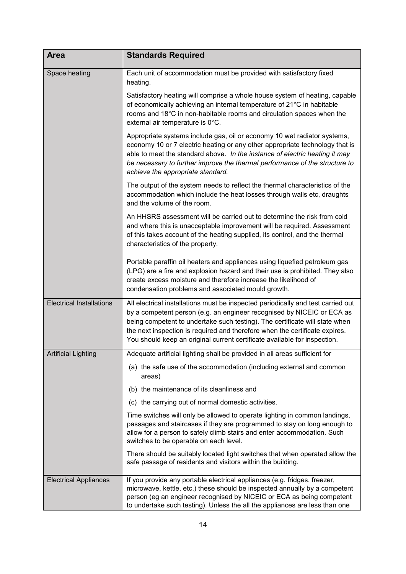| <b>Area</b>                     | <b>Standards Required</b>                                                                                                                                                                                                                                                                                                                                                                             |
|---------------------------------|-------------------------------------------------------------------------------------------------------------------------------------------------------------------------------------------------------------------------------------------------------------------------------------------------------------------------------------------------------------------------------------------------------|
| Space heating                   | Each unit of accommodation must be provided with satisfactory fixed<br>heating.                                                                                                                                                                                                                                                                                                                       |
|                                 | Satisfactory heating will comprise a whole house system of heating, capable<br>of economically achieving an internal temperature of 21°C in habitable<br>rooms and 18°C in non-habitable rooms and circulation spaces when the<br>external air temperature is 0°C.                                                                                                                                    |
|                                 | Appropriate systems include gas, oil or economy 10 wet radiator systems,<br>economy 10 or 7 electric heating or any other appropriate technology that is<br>able to meet the standard above. In the instance of electric heating it may<br>be necessary to further improve the thermal performance of the structure to<br>achieve the appropriate standard.                                           |
|                                 | The output of the system needs to reflect the thermal characteristics of the<br>accommodation which include the heat losses through walls etc, draughts<br>and the volume of the room.                                                                                                                                                                                                                |
|                                 | An HHSRS assessment will be carried out to determine the risk from cold<br>and where this is unacceptable improvement will be required. Assessment<br>of this takes account of the heating supplied, its control, and the thermal<br>characteristics of the property.                                                                                                                                 |
|                                 | Portable paraffin oil heaters and appliances using liquefied petroleum gas<br>(LPG) are a fire and explosion hazard and their use is prohibited. They also<br>create excess moisture and therefore increase the likelihood of<br>condensation problems and associated mould growth.                                                                                                                   |
| <b>Electrical Installations</b> | All electrical installations must be inspected periodically and test carried out<br>by a competent person (e.g. an engineer recognised by NICEIC or ECA as<br>being competent to undertake such testing). The certificate will state when<br>the next inspection is required and therefore when the certificate expires.<br>You should keep an original current certificate available for inspection. |
| <b>Artificial Lighting</b>      | Adequate artificial lighting shall be provided in all areas sufficient for                                                                                                                                                                                                                                                                                                                            |
|                                 | (a) the safe use of the accommodation (including external and common<br>areas)                                                                                                                                                                                                                                                                                                                        |
|                                 | (b) the maintenance of its cleanliness and                                                                                                                                                                                                                                                                                                                                                            |
|                                 | (c) the carrying out of normal domestic activities.                                                                                                                                                                                                                                                                                                                                                   |
|                                 | Time switches will only be allowed to operate lighting in common landings,<br>passages and staircases if they are programmed to stay on long enough to<br>allow for a person to safely climb stairs and enter accommodation. Such<br>switches to be operable on each level.                                                                                                                           |
|                                 | There should be suitably located light switches that when operated allow the<br>safe passage of residents and visitors within the building.                                                                                                                                                                                                                                                           |
| <b>Electrical Appliances</b>    | If you provide any portable electrical appliances (e.g. fridges, freezer,<br>microwave, kettle, etc.) these should be inspected annually by a competent<br>person (eg an engineer recognised by NICEIC or ECA as being competent<br>to undertake such testing). Unless the all the appliances are less than one                                                                                       |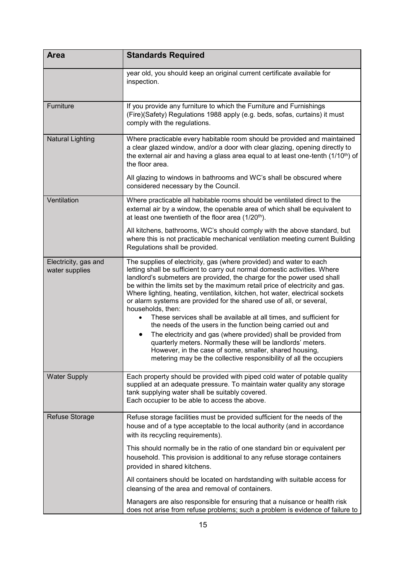| <b>Area</b>                            | <b>Standards Required</b>                                                                                                                                                                                                                                                                                                                                                                                                                                                                                                                                                                                                                                                                                                                                                                                                                                                                                     |
|----------------------------------------|---------------------------------------------------------------------------------------------------------------------------------------------------------------------------------------------------------------------------------------------------------------------------------------------------------------------------------------------------------------------------------------------------------------------------------------------------------------------------------------------------------------------------------------------------------------------------------------------------------------------------------------------------------------------------------------------------------------------------------------------------------------------------------------------------------------------------------------------------------------------------------------------------------------|
|                                        | year old, you should keep an original current certificate available for<br>inspection.                                                                                                                                                                                                                                                                                                                                                                                                                                                                                                                                                                                                                                                                                                                                                                                                                        |
| Furniture                              | If you provide any furniture to which the Furniture and Furnishings<br>(Fire)(Safety) Regulations 1988 apply (e.g. beds, sofas, curtains) it must<br>comply with the regulations.                                                                                                                                                                                                                                                                                                                                                                                                                                                                                                                                                                                                                                                                                                                             |
| <b>Natural Lighting</b>                | Where practicable every habitable room should be provided and maintained<br>a clear glazed window, and/or a door with clear glazing, opening directly to<br>the external air and having a glass area equal to at least one-tenth (1/10 <sup>th</sup> ) of<br>the floor area.                                                                                                                                                                                                                                                                                                                                                                                                                                                                                                                                                                                                                                  |
|                                        | All glazing to windows in bathrooms and WC's shall be obscured where<br>considered necessary by the Council.                                                                                                                                                                                                                                                                                                                                                                                                                                                                                                                                                                                                                                                                                                                                                                                                  |
| Ventilation                            | Where practicable all habitable rooms should be ventilated direct to the<br>external air by a window, the openable area of which shall be equivalent to<br>at least one twentieth of the floor area (1/20 <sup>th</sup> ).                                                                                                                                                                                                                                                                                                                                                                                                                                                                                                                                                                                                                                                                                    |
|                                        | All kitchens, bathrooms, WC's should comply with the above standard, but<br>where this is not practicable mechanical ventilation meeting current Building<br>Regulations shall be provided.                                                                                                                                                                                                                                                                                                                                                                                                                                                                                                                                                                                                                                                                                                                   |
| Electricity, gas and<br>water supplies | The supplies of electricity, gas (where provided) and water to each<br>letting shall be sufficient to carry out normal domestic activities. Where<br>landlord's submeters are provided, the charge for the power used shall<br>be within the limits set by the maximum retail price of electricity and gas.<br>Where lighting, heating, ventilation, kitchen, hot water, electrical sockets<br>or alarm systems are provided for the shared use of all, or several,<br>households, then:<br>These services shall be available at all times, and sufficient for<br>the needs of the users in the function being carried out and<br>The electricity and gas (where provided) shall be provided from<br>$\bullet$<br>quarterly meters. Normally these will be landlords' meters.<br>However, in the case of some, smaller, shared housing,<br>metering may be the collective responsibility of all the occupiers |
| <b>Water Supply</b>                    | Each property should be provided with piped cold water of potable quality<br>supplied at an adequate pressure. To maintain water quality any storage<br>tank supplying water shall be suitably covered.<br>Each occupier to be able to access the above.                                                                                                                                                                                                                                                                                                                                                                                                                                                                                                                                                                                                                                                      |
| Refuse Storage                         | Refuse storage facilities must be provided sufficient for the needs of the<br>house and of a type acceptable to the local authority (and in accordance<br>with its recycling requirements).                                                                                                                                                                                                                                                                                                                                                                                                                                                                                                                                                                                                                                                                                                                   |
|                                        | This should normally be in the ratio of one standard bin or equivalent per<br>household. This provision is additional to any refuse storage containers<br>provided in shared kitchens.                                                                                                                                                                                                                                                                                                                                                                                                                                                                                                                                                                                                                                                                                                                        |
|                                        | All containers should be located on hardstanding with suitable access for<br>cleansing of the area and removal of containers.                                                                                                                                                                                                                                                                                                                                                                                                                                                                                                                                                                                                                                                                                                                                                                                 |
|                                        | Managers are also responsible for ensuring that a nuisance or health risk<br>does not arise from refuse problems; such a problem is evidence of failure to                                                                                                                                                                                                                                                                                                                                                                                                                                                                                                                                                                                                                                                                                                                                                    |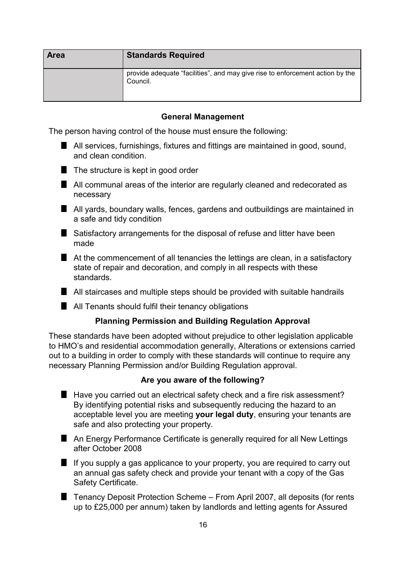| <b>Area</b> | <b>Standards Required</b>                                                                 |
|-------------|-------------------------------------------------------------------------------------------|
|             | provide adequate "facilities", and may give rise to enforcement action by the<br>Council. |

#### **General Management**

The person having control of the house must ensure the following:

All services, furnishings, fixtures and fittings are maintained in good, sound, and clean condition.



- **All communal areas of the interior are regularly cleaned and redecorated as** necessary
- All yards, boundary walls, fences, gardens and outbuildings are maintained in a safe and tidy condition
- Satisfactory arrangements for the disposal of refuse and litter have been made
- At the commencement of all tenancies the lettings are clean, in a satisfactory state of repair and decoration, and comply in all respects with these standards.
- All staircases and multiple steps should be provided with suitable handrails
- **All Tenants should fulfil their tenancy obligations**

#### **Planning Permission and Building Regulation Approval**

These standards have been adopted without prejudice to other legislation applicable to HMO's and residential accommodation generally, Alterations or extensions carried out to a building in order to comply with these standards will continue to require any necessary Planning Permission and/or Building Regulation approval.

#### **Are you aware of the following?**

- Have you carried out an electrical safety check and a fire risk assessment? By identifying potential risks and subsequently reducing the hazard to an acceptable level you are meeting **your legal duty**, ensuring your tenants are safe and also protecting your property.
- An Energy Performance Certificate is generally required for all New Lettings after October 2008
- $\blacksquare$  If you supply a gas applicance to your property, you are required to carry out an annual gas safety check and provide your tenant with a copy of the Gas Safety Certificate.
- Tenancy Deposit Protection Scheme From April 2007, all deposits (for rents up to £25,000 per annum) taken by landlords and letting agents for Assured